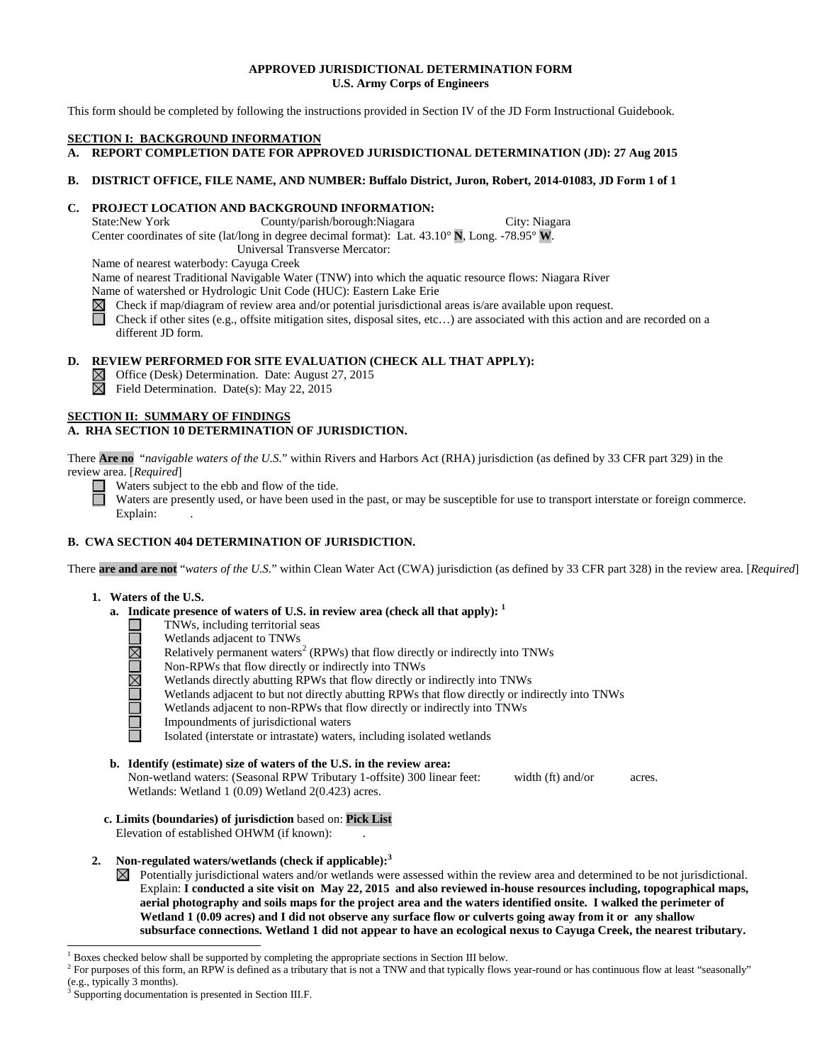# **APPROVED JURISDICTIONAL DETERMINATION FORM U.S. Army Corps of Engineers**

This form should be completed by following the instructions provided in Section IV of the JD Form Instructional Guidebook.

# **SECTION I: BACKGROUND INFORMATION**

**A. REPORT COMPLETION DATE FOR APPROVED JURISDICTIONAL DETERMINATION (JD): 27 Aug 2015** 

# **B. DISTRICT OFFICE, FILE NAME, AND NUMBER: Buffalo District, Juron, Robert, 2014-01083, JD Form 1 of 1**

# **C. PROJECT LOCATION AND BACKGROUND INFORMATION:**<br>State:New York County/parish/borough:Niagara

County/parish/borough:Niagara City: Niagara Center coordinates of site (lat/long in degree decimal format): Lat. 43.10° **N**, Long. -78.95° **W**.

Universal Transverse Mercator:

Name of nearest waterbody: Cayuga Creek

Name of nearest Traditional Navigable Water (TNW) into which the aquatic resource flows: Niagara River

Name of watershed or Hydrologic Unit Code (HUC): Eastern Lake Erie

 $\boxtimes$ Check if map/diagram of review area and/or potential jurisdictional areas is/are available upon request.

П Check if other sites (e.g., offsite mitigation sites, disposal sites, etc…) are associated with this action and are recorded on a different JD form.

# **D. REVIEW PERFORMED FOR SITE EVALUATION (CHECK ALL THAT APPLY):**

 $\boxtimes$  Office (Desk) Determination. Date: August 27, 2015

 $\overline{\boxtimes}$  Field Determination. Date(s): May 22, 2015

#### **SECTION II: SUMMARY OF FINDINGS A. RHA SECTION 10 DETERMINATION OF JURISDICTION.**

There **Are no** "*navigable waters of the U.S.*" within Rivers and Harbors Act (RHA) jurisdiction (as defined by 33 CFR part 329) in the review area. [*Required*]

Waters subject to the ebb and flow of the tide.

Waters are presently used, or have been used in the past, or may be susceptible for use to transport interstate or foreign commerce. Explain:

# **B. CWA SECTION 404 DETERMINATION OF JURISDICTION.**

There **are and are not** "*waters of the U.S.*" within Clean Water Act (CWA) jurisdiction (as defined by 33 CFR part 328) in the review area. [*Required*]

# **1. Waters of the U.S.**

**UMUML** 

- **a. Indicate presence of waters of U.S. in review area (check all that apply): <sup>1</sup>**
	- TNWs, including territorial seas
	- Wetlands adjacent to TNWs
	- Relatively permanent waters<sup>2</sup> (RPWs) that flow directly or indirectly into TNWs
	- Non-RPWs that flow directly or indirectly into TNWs
	- Wetlands directly abutting RPWs that flow directly or indirectly into TNWs
	- Wetlands adjacent to but not directly abutting RPWs that flow directly or indirectly into TNWs
	- Wetlands adjacent to non-RPWs that flow directly or indirectly into TNWs
	- Impoundments of jurisdictional waters
	- Isolated (interstate or intrastate) waters, including isolated wetlands
- **b. Identify (estimate) size of waters of the U.S. in the review area:** Non-wetland waters: (Seasonal RPW Tributary 1-offsite) 300 linear feet: width (ft) and/or acres. Wetlands: Wetland 1 (0.09) Wetland 2(0.423) acres.
- **c. Limits (boundaries) of jurisdiction** based on: **Pick List** Elevation of established OHWM (if known):
- **2. Non-regulated waters/wetlands (check if applicable): 3**

 $\boxtimes$  Potentially jurisdictional waters and/or wetlands were assessed within the review area and determined to be not jurisdictional. Explain: **I conducted a site visit on May 22, 2015 and also reviewed in-house resources including, topographical maps, aerial photography and soils maps for the project area and the waters identified onsite. I walked the perimeter of Wetland 1 (0.09 acres) and I did not observe any surface flow or culverts going away from it or any shallow subsurface connections. Wetland 1 did not appear to have an ecological nexus to Cayuga Creek, the nearest tributary.** 

 <sup>1</sup> Boxes checked below shall be supported by completing the appropriate sections in Section III below.

 $<sup>2</sup>$  For purposes of this form, an RPW is defined as a tributary that is not a TNW and that typically flows year-round or has continuous flow at least "seasonally"</sup> (e.g., typically 3 months).

<sup>&</sup>lt;sup>3</sup> Supporting documentation is presented in Section III.F.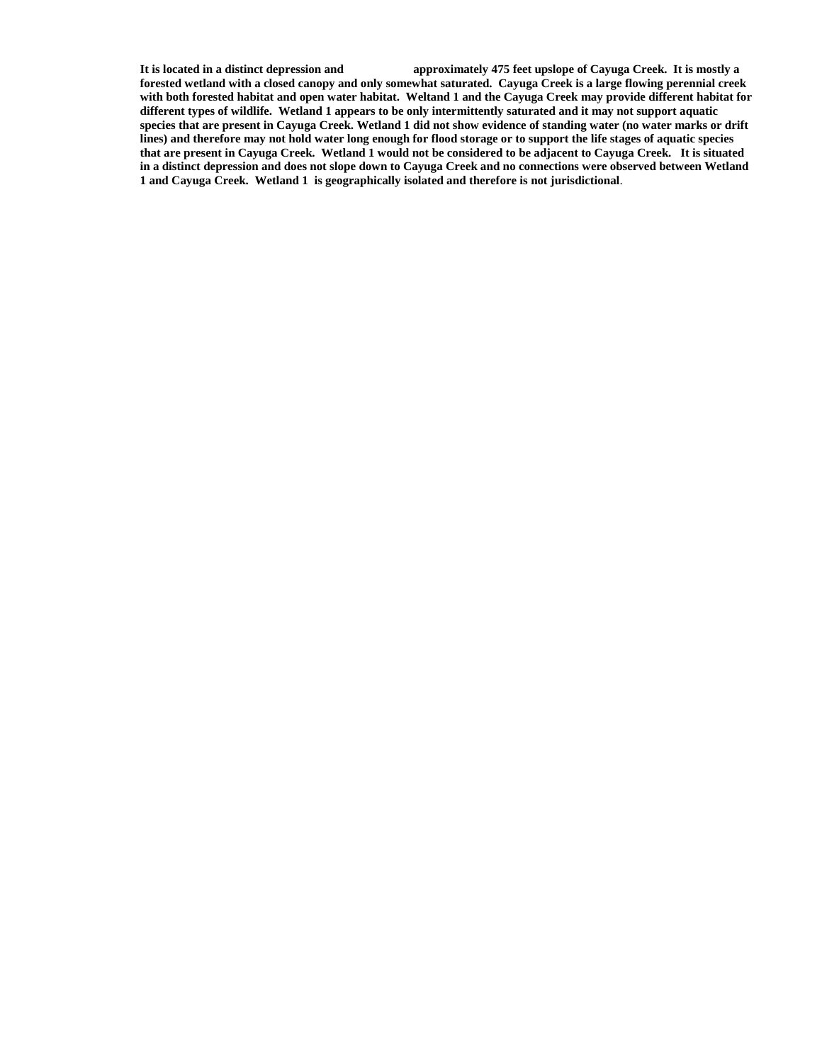**It is located in a distinct depression and approximately 475 feet upslope of Cayuga Creek. It is mostly a forested wetland with a closed canopy and only somewhat saturated. Cayuga Creek is a large flowing perennial creek with both forested habitat and open water habitat. Weltand 1 and the Cayuga Creek may provide different habitat for different types of wildlife. Wetland 1 appears to be only intermittently saturated and it may not support aquatic species that are present in Cayuga Creek. Wetland 1 did not show evidence of standing water (no water marks or drift lines) and therefore may not hold water long enough for flood storage or to support the life stages of aquatic species that are present in Cayuga Creek. Wetland 1 would not be considered to be adjacent to Cayuga Creek. It is situated in a distinct depression and does not slope down to Cayuga Creek and no connections were observed between Wetland 1 and Cayuga Creek. Wetland 1 is geographically isolated and therefore is not jurisdictional**.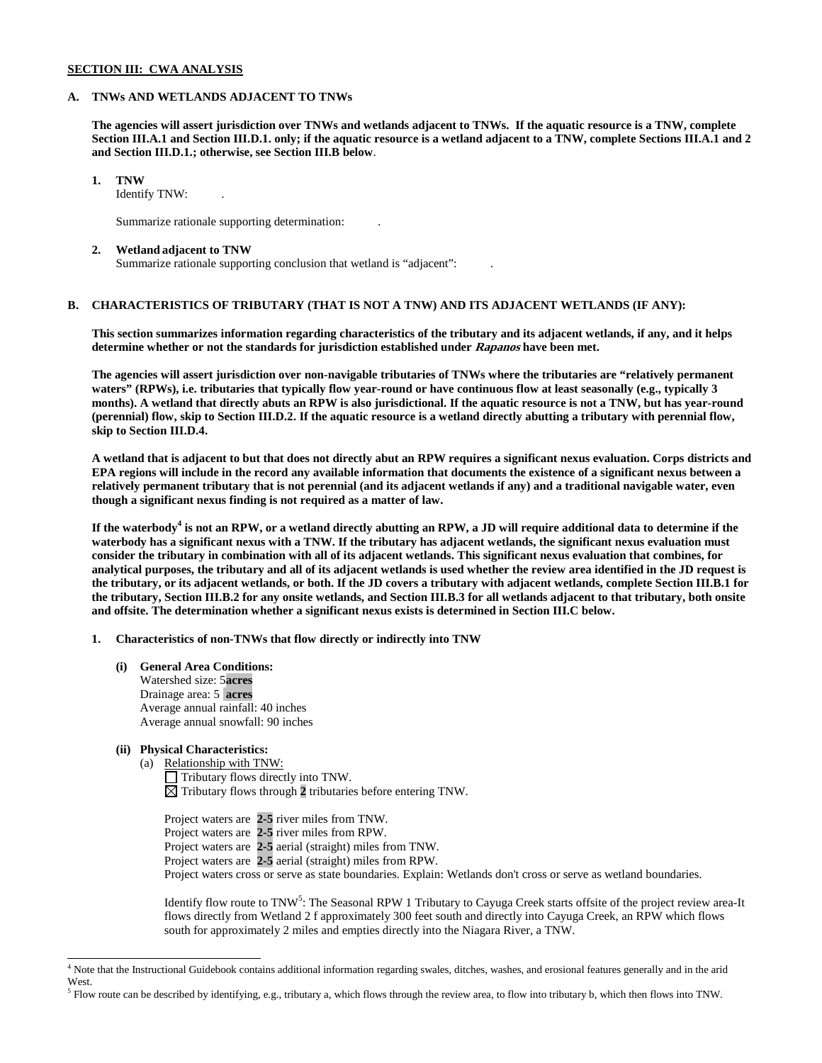# **SECTION III: CWA ANALYSIS**

# **A. TNWs AND WETLANDS ADJACENT TO TNWs**

**The agencies will assert jurisdiction over TNWs and wetlands adjacent to TNWs. If the aquatic resource is a TNW, complete Section III.A.1 and Section III.D.1. only; if the aquatic resource is a wetland adjacent to a TNW, complete Sections III.A.1 and 2 and Section III.D.1.; otherwise, see Section III.B below**.

# **1. TNW**

Identify TNW: .

Summarize rationale supporting determination: .

# **2. Wetland adjacent to TNW**

Summarize rationale supporting conclusion that wetland is "adjacent": .

# **B. CHARACTERISTICS OF TRIBUTARY (THAT IS NOT A TNW) AND ITS ADJACENT WETLANDS (IF ANY):**

**This section summarizes information regarding characteristics of the tributary and its adjacent wetlands, if any, and it helps determine whether or not the standards for jurisdiction established under Rapanos have been met.** 

**The agencies will assert jurisdiction over non-navigable tributaries of TNWs where the tributaries are "relatively permanent waters" (RPWs), i.e. tributaries that typically flow year-round or have continuous flow at least seasonally (e.g., typically 3 months). A wetland that directly abuts an RPW is also jurisdictional. If the aquatic resource is not a TNW, but has year-round (perennial) flow, skip to Section III.D.2. If the aquatic resource is a wetland directly abutting a tributary with perennial flow, skip to Section III.D.4.**

**A wetland that is adjacent to but that does not directly abut an RPW requires a significant nexus evaluation. Corps districts and EPA regions will include in the record any available information that documents the existence of a significant nexus between a relatively permanent tributary that is not perennial (and its adjacent wetlands if any) and a traditional navigable water, even though a significant nexus finding is not required as a matter of law.**

**If the waterbody<sup>4</sup> is not an RPW, or a wetland directly abutting an RPW, a JD will require additional data to determine if the waterbody has a significant nexus with a TNW. If the tributary has adjacent wetlands, the significant nexus evaluation must consider the tributary in combination with all of its adjacent wetlands. This significant nexus evaluation that combines, for analytical purposes, the tributary and all of its adjacent wetlands is used whether the review area identified in the JD request is the tributary, or its adjacent wetlands, or both. If the JD covers a tributary with adjacent wetlands, complete Section III.B.1 for the tributary, Section III.B.2 for any onsite wetlands, and Section III.B.3 for all wetlands adjacent to that tributary, both onsite and offsite. The determination whether a significant nexus exists is determined in Section III.C below.**

- **1. Characteristics of non-TNWs that flow directly or indirectly into TNW**
	- **(i) General Area Conditions:** Watershed size: 5**acres** Drainage area: 5 **acres** Average annual rainfall: 40 inches Average annual snowfall: 90 inches

# **(ii) Physical Characteristics:**

(a) Relationship with TNW: Tributary flows directly into TNW.  $\boxtimes$  Tributary flows through 2 tributaries before entering TNW.

Project waters are **2-5** river miles from TNW. Project waters are **2-5** river miles from RPW. Project waters are **2-5** aerial (straight) miles from TNW. Project waters are **2-5** aerial (straight) miles from RPW. Project waters cross or serve as state boundaries. Explain: Wetlands don't cross or serve as wetland boundaries.

Identify flow route to TNW<sup>5</sup>: The Seasonal RPW 1 Tributary to Cayuga Creek starts offsite of the project review area-It flows directly from Wetland 2 f approximately 300 feet south and directly into Cayuga Creek, an RPW which flows south for approximately 2 miles and empties directly into the Niagara River, a TNW.

<sup>&</sup>lt;sup>4</sup> Note that the Instructional Guidebook contains additional information regarding swales, ditches, washes, and erosional features generally and in the arid West.

 $<sup>5</sup>$  Flow route can be described by identifying, e.g., tributary a, which flows through the review area, to flow into tributary b, which then flows into TNW.</sup>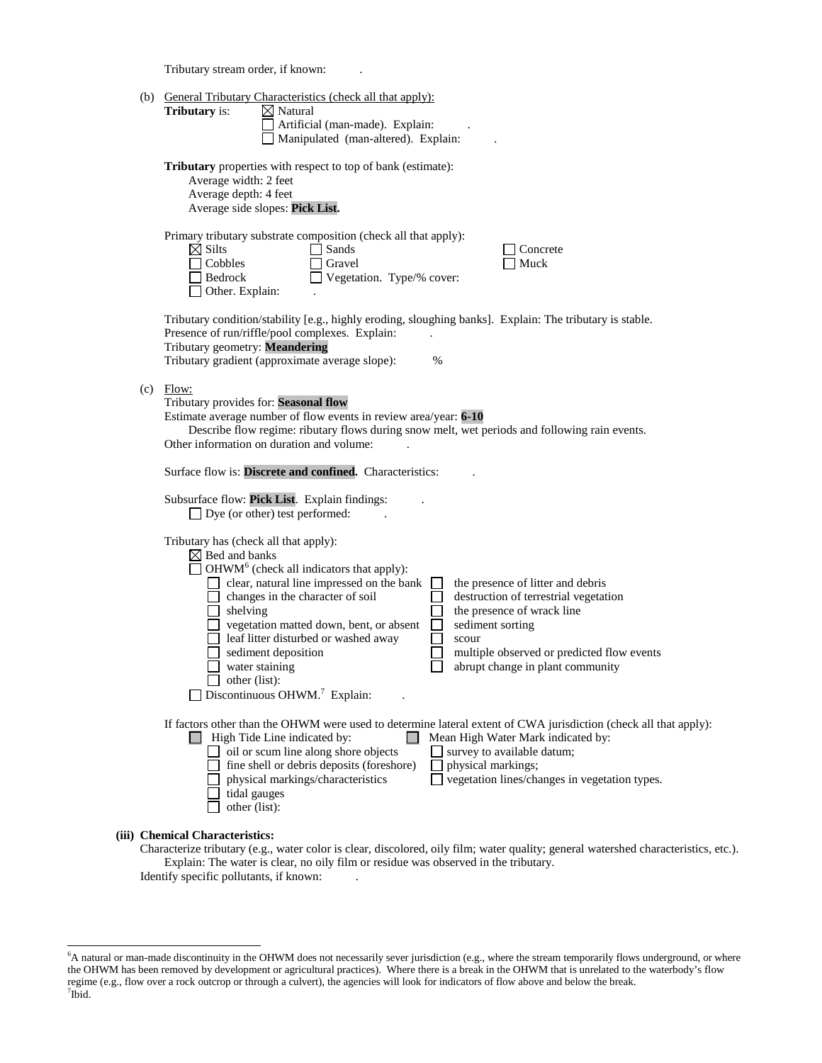Tributary stream order, if known: .

| (b) General Tributary Characteristics (check all that apply):<br>Tributary is:<br>$\boxtimes$ Natural<br>Artificial (man-made). Explain:<br>Manipulated (man-altered). Explain:                                                                                                                                                                                                                                                                                                                                                                                                                                                                                                     |
|-------------------------------------------------------------------------------------------------------------------------------------------------------------------------------------------------------------------------------------------------------------------------------------------------------------------------------------------------------------------------------------------------------------------------------------------------------------------------------------------------------------------------------------------------------------------------------------------------------------------------------------------------------------------------------------|
| <b>Tributary</b> properties with respect to top of bank (estimate):<br>Average width: 2 feet<br>Average depth: 4 feet<br>Average side slopes: Pick List.                                                                                                                                                                                                                                                                                                                                                                                                                                                                                                                            |
| Primary tributary substrate composition (check all that apply):<br>$\boxtimes$ Silts<br>Sands<br>Concrete<br>Cobbles<br>Gravel<br>Muck<br>Vegetation. Type/% cover:<br>Bedrock<br>Other. Explain:                                                                                                                                                                                                                                                                                                                                                                                                                                                                                   |
| Tributary condition/stability [e.g., highly eroding, sloughing banks]. Explain: The tributary is stable.<br>Presence of run/riffle/pool complexes. Explain:<br>Tributary geometry: Meandering<br>Tributary gradient (approximate average slope):<br>%                                                                                                                                                                                                                                                                                                                                                                                                                               |
| $(c)$ Flow:<br>Tributary provides for: Seasonal flow<br>Estimate average number of flow events in review area/year: 6-10<br>Describe flow regime: ributary flows during snow melt, wet periods and following rain events.<br>Other information on duration and volume:                                                                                                                                                                                                                                                                                                                                                                                                              |
| Surface flow is: Discrete and confined. Characteristics:                                                                                                                                                                                                                                                                                                                                                                                                                                                                                                                                                                                                                            |
| Subsurface flow: Pick List. Explain findings:<br>$\Box$ Dye (or other) test performed:                                                                                                                                                                                                                                                                                                                                                                                                                                                                                                                                                                                              |
| Tributary has (check all that apply):<br>$\boxtimes$ Bed and banks<br>$\Box$ OHWM <sup>6</sup> (check all indicators that apply):<br>$\Box$ clear, natural line impressed on the bank<br>the presence of litter and debris<br>$\perp$<br>$\Box$ changes in the character of soil<br>destruction of terrestrial vegetation<br>$\Box$ shelving<br>the presence of wrack line<br>vegetation matted down, bent, or absent<br>sediment sorting<br>leaf litter disturbed or washed away<br>scour<br>sediment deposition<br>multiple observed or predicted flow events<br>abrupt change in plant community<br>water staining<br>other (list):<br>Discontinuous OHWM. <sup>7</sup> Explain: |
| If factors other than the OHWM were used to determine lateral extent of CWA jurisdiction (check all that apply):<br>$\Box$ High Tide Line indicated by:<br>$\Box$<br>Mean High Water Mark indicated by:<br>oil or scum line along shore objects<br>survey to available datum;<br>fine shell or debris deposits (foreshore)<br>physical markings;<br>vegetation lines/changes in vegetation types.<br>physical markings/characteristics<br>tidal gauges<br>other (list):                                                                                                                                                                                                             |
|                                                                                                                                                                                                                                                                                                                                                                                                                                                                                                                                                                                                                                                                                     |

# **(iii) Chemical Characteristics:**

Characterize tributary (e.g., water color is clear, discolored, oily film; water quality; general watershed characteristics, etc.). Explain: The water is clear, no oily film or residue was observed in the tributary. Identify specific pollutants, if known: .

 <sup>6</sup>  $6A$  natural or man-made discontinuity in the OHWM does not necessarily sever jurisdiction (e.g., where the stream temporarily flows underground, or where the OHWM has been removed by development or agricultural practices). Where there is a break in the OHWM that is unrelated to the waterbody's flow regime (e.g., flow over a rock outcrop or through a culvert), the agencies will look for indicators of flow above and below the break. 7 Ibid.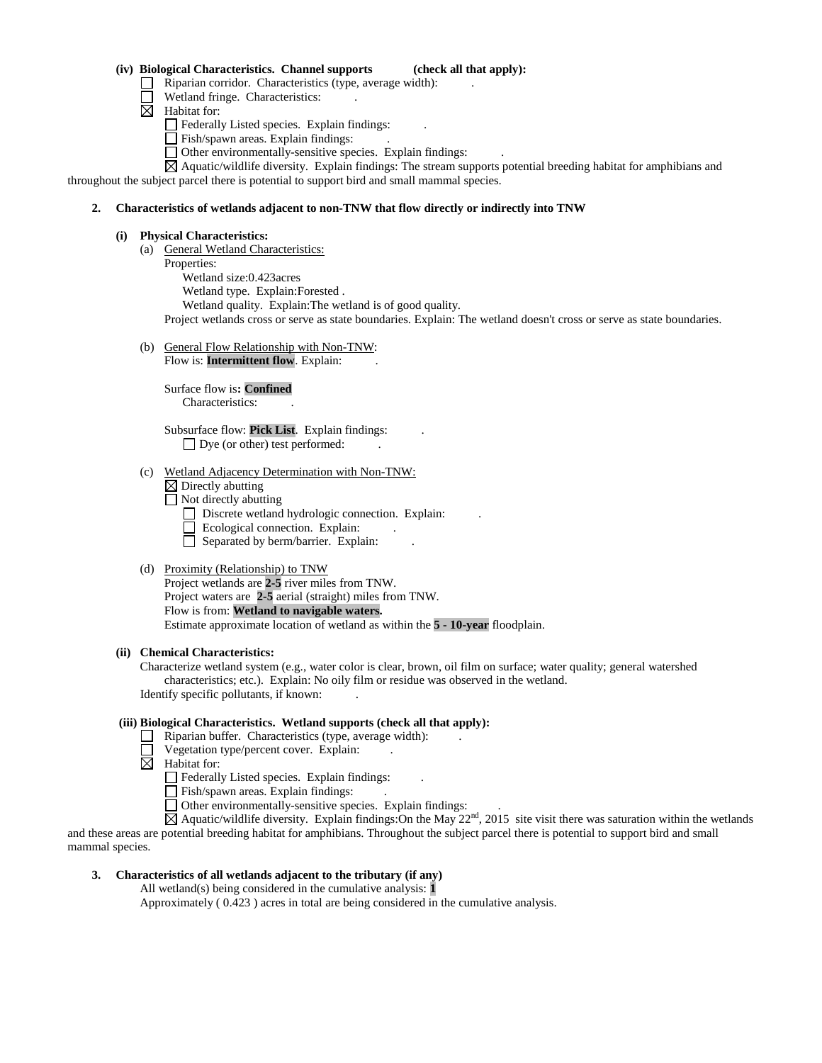### **(iv) Biological Characteristics. Channel supports (check all that apply):**

- $\Box$  Riparian corridor. Characteristics (type, average width):
- Wetland fringe. Characteristics:
- $\boxtimes$  Habitat for:

Federally Listed species. Explain findings: .

- Fish/spawn areas. Explain findings:
- $\Box$  Other environmentally-sensitive species. Explain findings:

 $\boxtimes$  Aquatic/wildlife diversity. Explain findings: The stream supports potential breeding habitat for amphibians and throughout the subject parcel there is potential to support bird and small mammal species.

#### **2. Characteristics of wetlands adjacent to non-TNW that flow directly or indirectly into TNW**

#### **(i) Physical Characteristics:**

- (a) General Wetland Characteristics:
	- Properties:

Wetland size:0.423acres

Wetland type. Explain:Forested .

Wetland quality. Explain:The wetland is of good quality.

Project wetlands cross or serve as state boundaries. Explain: The wetland doesn't cross or serve as state boundaries.

(b) General Flow Relationship with Non-TNW:

Flow is: **Intermittent flow**. Explain:

Surface flow is**: Confined**  Characteristics: .

Subsurface flow: **Pick List**. Explain findings: . Dye (or other) test performed:

- (c) Wetland Adjacency Determination with Non-TNW:
	- $\boxtimes$  Directly abutting
	- $\Box$  Not directly abutting
		- $\Box$  Discrete wetland hydrologic connection. Explain:
	- $\Box$  Ecological connection. Explain:
		- $\Box$  Separated by berm/barrier. Explain:

#### (d) Proximity (Relationship) to TNW

Project wetlands are **2-5** river miles from TNW. Project waters are **2-5** aerial (straight) miles from TNW. Flow is from: **Wetland to navigable waters.** Estimate approximate location of wetland as within the **5 - 10-year** floodplain.

#### **(ii) Chemical Characteristics:**

Characterize wetland system (e.g., water color is clear, brown, oil film on surface; water quality; general watershed characteristics; etc.). Explain: No oily film or residue was observed in the wetland. Identify specific pollutants, if known: .

# **(iii) Biological Characteristics. Wetland supports (check all that apply):**

- $\Box$  Riparian buffer. Characteristics (type, average width):
- Vegetation type/percent cover. Explain:
- $\overline{\boxtimes}$  Habitat for:

 $\Box$  Federally Listed species. Explain findings:

- Fish/spawn areas. Explain findings:
- Other environmentally-sensitive species. Explain findings: .

 $\overline{A}$  Aquatic/wildlife diversity. Explain findings: On the May 22<sup>nd</sup>, 2015 site visit there was saturation within the wetlands and these areas are potential breeding habitat for amphibians. Throughout the subject parcel there is potential to support bird and small mammal species.

# **3. Characteristics of all wetlands adjacent to the tributary (if any)**

All wetland(s) being considered in the cumulative analysis: **1**

Approximately ( 0.423 ) acres in total are being considered in the cumulative analysis.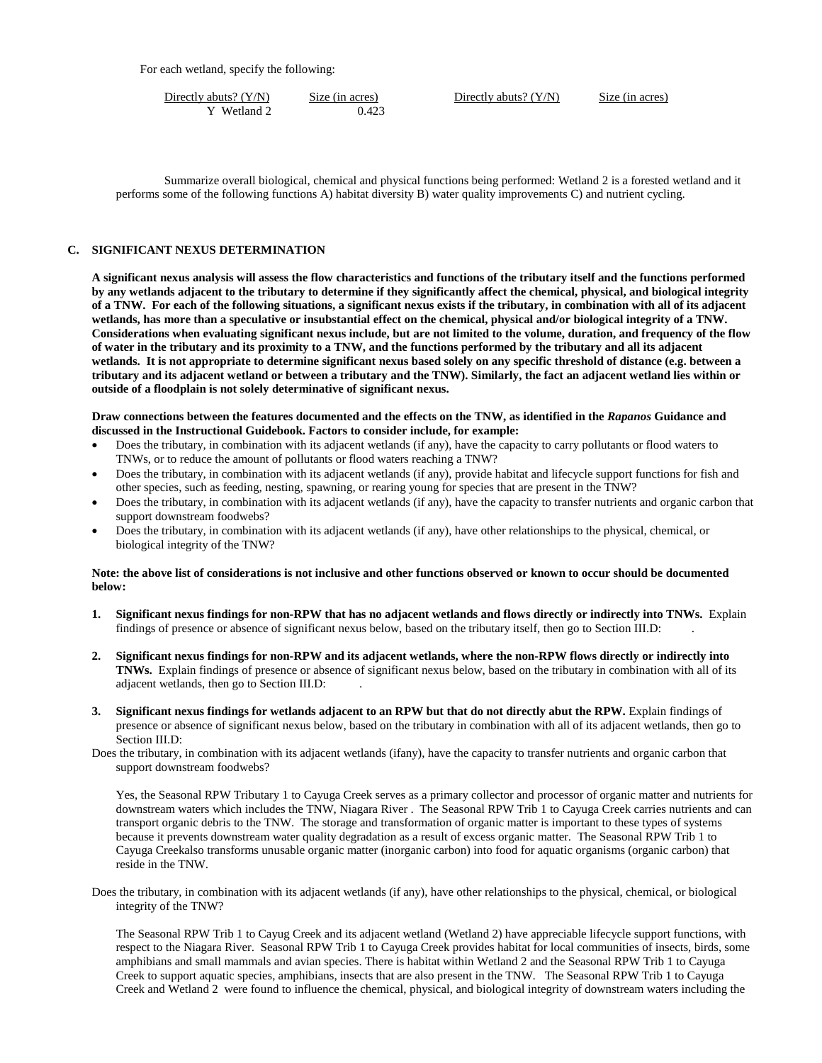For each wetland, specify the following:

| Directly abuts? $(Y/N)$ | Size (in acres) | Directly abuts? $(Y/N)$ | Size (in acres) |
|-------------------------|-----------------|-------------------------|-----------------|
| Wetland 2               | ).423           |                         |                 |

Summarize overall biological, chemical and physical functions being performed: Wetland 2 is a forested wetland and it performs some of the following functions A) habitat diversity B) water quality improvements C) and nutrient cycling.

# **C. SIGNIFICANT NEXUS DETERMINATION**

**A significant nexus analysis will assess the flow characteristics and functions of the tributary itself and the functions performed by any wetlands adjacent to the tributary to determine if they significantly affect the chemical, physical, and biological integrity of a TNW. For each of the following situations, a significant nexus exists if the tributary, in combination with all of its adjacent wetlands, has more than a speculative or insubstantial effect on the chemical, physical and/or biological integrity of a TNW. Considerations when evaluating significant nexus include, but are not limited to the volume, duration, and frequency of the flow of water in the tributary and its proximity to a TNW, and the functions performed by the tributary and all its adjacent wetlands. It is not appropriate to determine significant nexus based solely on any specific threshold of distance (e.g. between a tributary and its adjacent wetland or between a tributary and the TNW). Similarly, the fact an adjacent wetland lies within or outside of a floodplain is not solely determinative of significant nexus.** 

# **Draw connections between the features documented and the effects on the TNW, as identified in the** *Rapanos* **Guidance and discussed in the Instructional Guidebook. Factors to consider include, for example:**

- Does the tributary, in combination with its adjacent wetlands (if any), have the capacity to carry pollutants or flood waters to TNWs, or to reduce the amount of pollutants or flood waters reaching a TNW?
- Does the tributary, in combination with its adjacent wetlands (if any), provide habitat and lifecycle support functions for fish and other species, such as feeding, nesting, spawning, or rearing young for species that are present in the TNW?
- Does the tributary, in combination with its adjacent wetlands (if any), have the capacity to transfer nutrients and organic carbon that support downstream foodwebs?
- Does the tributary, in combination with its adjacent wetlands (if any), have other relationships to the physical, chemical, or biological integrity of the TNW?

# **Note: the above list of considerations is not inclusive and other functions observed or known to occur should be documented below:**

- **1. Significant nexus findings for non-RPW that has no adjacent wetlands and flows directly or indirectly into TNWs.** Explain findings of presence or absence of significant nexus below, based on the tributary itself, then go to Section III.D: .
- **2. Significant nexus findings for non-RPW and its adjacent wetlands, where the non-RPW flows directly or indirectly into TNWs.** Explain findings of presence or absence of significant nexus below, based on the tributary in combination with all of its adjacent wetlands, then go to Section III.D: .
- **3. Significant nexus findings for wetlands adjacent to an RPW but that do not directly abut the RPW.** Explain findings of presence or absence of significant nexus below, based on the tributary in combination with all of its adjacent wetlands, then go to Section III.D:
- Does the tributary, in combination with its adjacent wetlands (ifany), have the capacity to transfer nutrients and organic carbon that support downstream foodwebs?

Yes, the Seasonal RPW Tributary 1 to Cayuga Creek serves as a primary collector and processor of organic matter and nutrients for downstream waters which includes the TNW, Niagara River . The Seasonal RPW Trib 1 to Cayuga Creek carries nutrients and can transport organic debris to the TNW. The storage and transformation of organic matter is important to these types of systems because it prevents downstream water quality degradation as a result of excess organic matter. The Seasonal RPW Trib 1 to Cayuga Creekalso transforms unusable organic matter (inorganic carbon) into food for aquatic organisms (organic carbon) that reside in the TNW.

Does the tributary, in combination with its adjacent wetlands (if any), have other relationships to the physical, chemical, or biological integrity of the TNW?

 The Seasonal RPW Trib 1 to Cayug Creek and its adjacent wetland (Wetland 2) have appreciable lifecycle support functions, with respect to the Niagara River. Seasonal RPW Trib 1 to Cayuga Creek provides habitat for local communities of insects, birds, some amphibians and small mammals and avian species. There is habitat within Wetland 2 and the Seasonal RPW Trib 1 to Cayuga Creek to support aquatic species, amphibians, insects that are also present in the TNW. The Seasonal RPW Trib 1 to Cayuga Creek and Wetland 2 were found to influence the chemical, physical, and biological integrity of downstream waters including the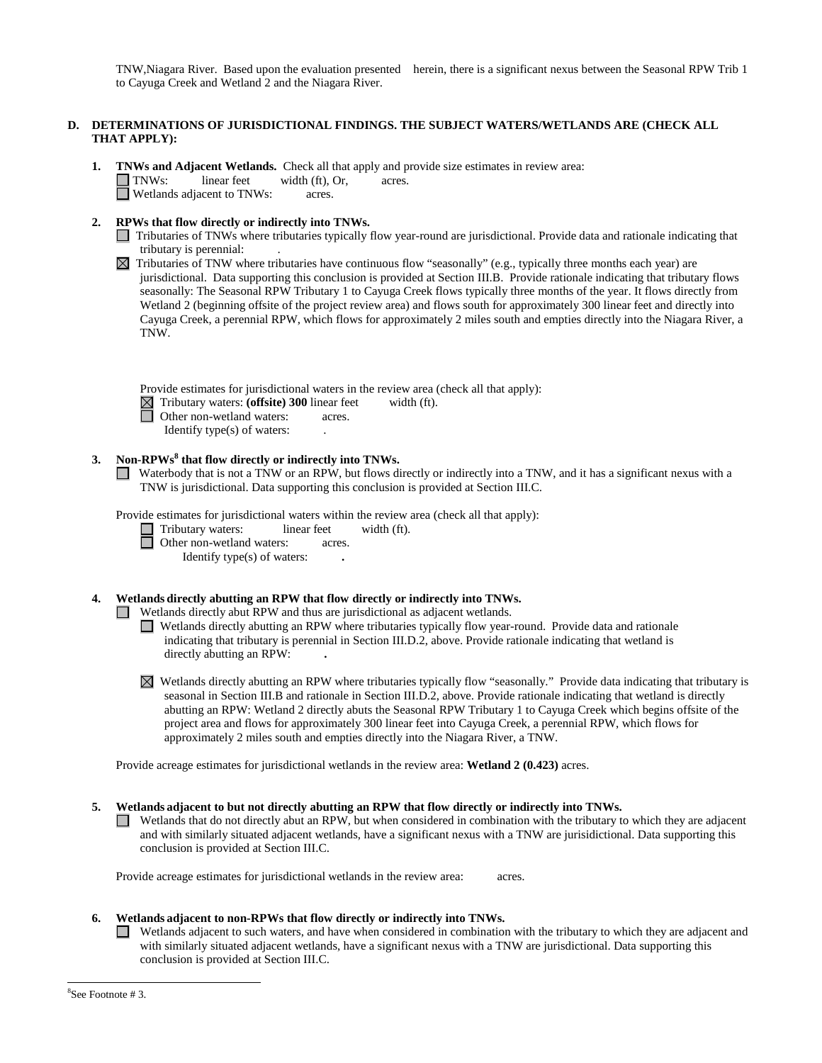TNW,Niagara River. Based upon the evaluation presented herein, there is a significant nexus between the Seasonal RPW Trib 1 to Cayuga Creek and Wetland 2 and the Niagara River.

# **D. DETERMINATIONS OF JURISDICTIONAL FINDINGS. THE SUBJECT WATERS/WETLANDS ARE (CHECK ALL THAT APPLY):**

- **1. TNWs and Adjacent Wetlands.** Check all that apply and provide size estimates in review area: TNWs: linear feet width (ft), Or, acres. □ Wetlands adjacent to TNWs: acres.
- **2. RPWs that flow directly or indirectly into TNWs.**
	- Tributaries of TNWs where tributaries typically flow year-round are jurisdictional. Provide data and rationale indicating that tributary is perennial: .
	- $\boxtimes$  Tributaries of TNW where tributaries have continuous flow "seasonally" (e.g., typically three months each year) are jurisdictional. Data supporting this conclusion is provided at Section III.B. Provide rationale indicating that tributary flows seasonally: The Seasonal RPW Tributary 1 to Cayuga Creek flows typically three months of the year. It flows directly from Wetland 2 (beginning offsite of the project review area) and flows south for approximately 300 linear feet and directly into Cayuga Creek, a perennial RPW, which flows for approximately 2 miles south and empties directly into the Niagara River, a TNW.

Provide estimates for jurisdictional waters in the review area (check all that apply):

- Tributary waters: **(offsite) 300** linear feet width (ft).
	- Other non-wetland waters: acres.

Identify type(s) of waters: .

# **3. Non-RPWs<sup>8</sup> that flow directly or indirectly into TNWs.**

Waterbody that is not a TNW or an RPW, but flows directly or indirectly into a TNW, and it has a significant nexus with a TNW is jurisdictional. Data supporting this conclusion is provided at Section III.C.

Provide estimates for jurisdictional waters within the review area (check all that apply):

Tributary waters: linear feet width (ft).

**Other non-wetland waters: acres.** 

Identify type(s) of waters: **.**

# **4. Wetlands directly abutting an RPW that flow directly or indirectly into TNWs.**

Wetlands directly abut RPW and thus are jurisdictional as adjacent wetlands.

Wetlands directly abutting an RPW where tributaries typically flow year-round. Provide data and rationale indicating that tributary is perennial in Section III.D.2, above. Provide rationale indicating that wetland is directly abutting an RPW: **.**

 $\boxtimes$  Wetlands directly abutting an RPW where tributaries typically flow "seasonally." Provide data indicating that tributary is seasonal in Section III.B and rationale in Section III.D.2, above. Provide rationale indicating that wetland is directly abutting an RPW: Wetland 2 directly abuts the Seasonal RPW Tributary 1 to Cayuga Creek which begins offsite of the project area and flows for approximately 300 linear feet into Cayuga Creek, a perennial RPW, which flows for approximately 2 miles south and empties directly into the Niagara River, a TNW.

Provide acreage estimates for jurisdictional wetlands in the review area: **Wetland 2 (0.423)** acres.

# **5. Wetlands adjacent to but not directly abutting an RPW that flow directly or indirectly into TNWs.**

 $\Box$  Wetlands that do not directly abut an RPW, but when considered in combination with the tributary to which they are adjacent and with similarly situated adjacent wetlands, have a significant nexus with a TNW are jurisidictional. Data supporting this conclusion is provided at Section III.C.

Provide acreage estimates for jurisdictional wetlands in the review area: acres.

# **6. Wetlands adjacent to non-RPWs that flow directly or indirectly into TNWs.**

Wetlands adjacent to such waters, and have when considered in combination with the tributary to which they are adjacent and with similarly situated adjacent wetlands, have a significant nexus with a TNW are jurisdictional. Data supporting this conclusion is provided at Section III.C.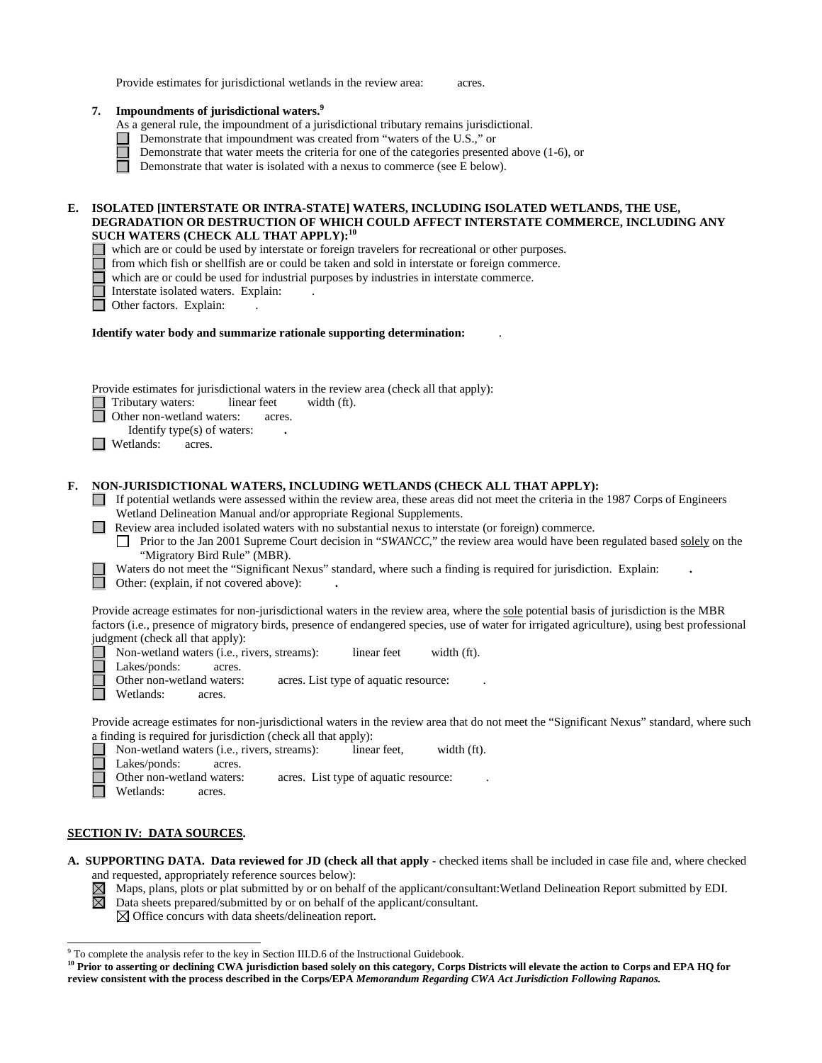| Provide estimates for jurisdictional wetlands in the review area: | acres. |
|-------------------------------------------------------------------|--------|
|-------------------------------------------------------------------|--------|

| 7. | Impoundments of jurisdictional waters. <sup>9</sup> |  |  |
|----|-----------------------------------------------------|--|--|
|    |                                                     |  |  |

- As a general rule, the impoundment of a jurisdictional tributary remains jurisdictional.
- Demonstrate that impoundment was created from "waters of the U.S.," or
	- Demonstrate that water meets the criteria for one of the categories presented above (1-6), or
	- Demonstrate that water is isolated with a nexus to commerce (see E below).

# **E. ISOLATED [INTERSTATE OR INTRA-STATE] WATERS, INCLUDING ISOLATED WETLANDS, THE USE, DEGRADATION OR DESTRUCTION OF WHICH COULD AFFECT INTERSTATE COMMERCE, INCLUDING ANY SUCH WATERS (CHECK ALL THAT APPLY):<sup>10</sup>**

- which are or could be used by interstate or foreign travelers for recreational or other purposes.
	- from which fish or shellfish are or could be taken and sold in interstate or foreign commerce.
	- which are or could be used for industrial purposes by industries in interstate commerce.
	- Interstate isolated waters.Explain: .
- □ Other factors. Explain:

#### **Identify water body and summarize rationale supporting determination:** .

Provide estimates for jurisdictional waters in the review area (check all that apply):

Tributary waters: linear feet width (ft).

Other non-wetland waters: acres.

Identify type(s) of waters: **.**

 $\Box$  Wetlands: acres.

# **F. NON-JURISDICTIONAL WATERS, INCLUDING WETLANDS (CHECK ALL THAT APPLY):**

 $\Box$  If potential wetlands were assessed within the review area, these areas did not meet the criteria in the 1987 Corps of Engineers Wetland Delineation Manual and/or appropriate Regional Supplements.

**Review area included isolated waters with no substantial nexus to interstate (or foreign) commerce.** 

**Prior to the Jan 2001 Supreme Court decision in "***SWANCC***," the review area would have been regulated based solely on the** "Migratory Bird Rule" (MBR).

Waters do not meet the "Significant Nexus" standard, where such a finding is required for jurisdiction. Explain: **.**

Other: (explain, if not covered above): **.**

Provide acreage estimates for non-jurisdictional waters in the review area, where the sole potential basis of jurisdiction is the MBR factors (i.e., presence of migratory birds, presence of endangered species, use of water for irrigated agriculture), using best professional judgment (check all that apply):

Non-wetland waters (i.e., rivers, streams): linear feet width (ft).

Lakes/ponds: acres.

Other non-wetland waters: acres. List type of aquatic resource:

Wetlands: acres.

Provide acreage estimates for non-jurisdictional waters in the review area that do not meet the "Significant Nexus" standard, where such a finding is required for jurisdiction (check all that apply):

- Non-wetland waters (i.e., rivers, streams): linear feet, width (ft). Lakes/ponds: acres.<br>Other non-wetland waters: acres. List type of aquatic resource:
- Wetlands: acres.

# **SECTION IV: DATA SOURCES.**

- **A. SUPPORTING DATA. Data reviewed for JD (check all that apply -** checked items shall be included in case file and, where checked and requested, appropriately reference sources below):<br>  $\boxtimes$  Maps, plans, plots or plat submitted by or on behalf of<br>  $\boxtimes$  Data sheets prepared/submitted by or on behalf of
	- Maps, plans, plots or plat submitted by or on behalf of the applicant/consultant:Wetland Delineation Report submitted by EDI.
	- Data sheets prepared/submitted by or on behalf of the applicant/consultant.  $\boxtimes$  Office concurs with data sheets/delineation report.

<sup>&</sup>lt;sup>9</sup> To complete the analysis refer to the key in Section III.D.6 of the Instructional Guidebook.

**<sup>10</sup> Prior to asserting or declining CWA jurisdiction based solely on this category, Corps Districts will elevate the action to Corps and EPA HQ for review consistent with the process described in the Corps/EPA** *Memorandum Regarding CWA Act Jurisdiction Following Rapanos.*